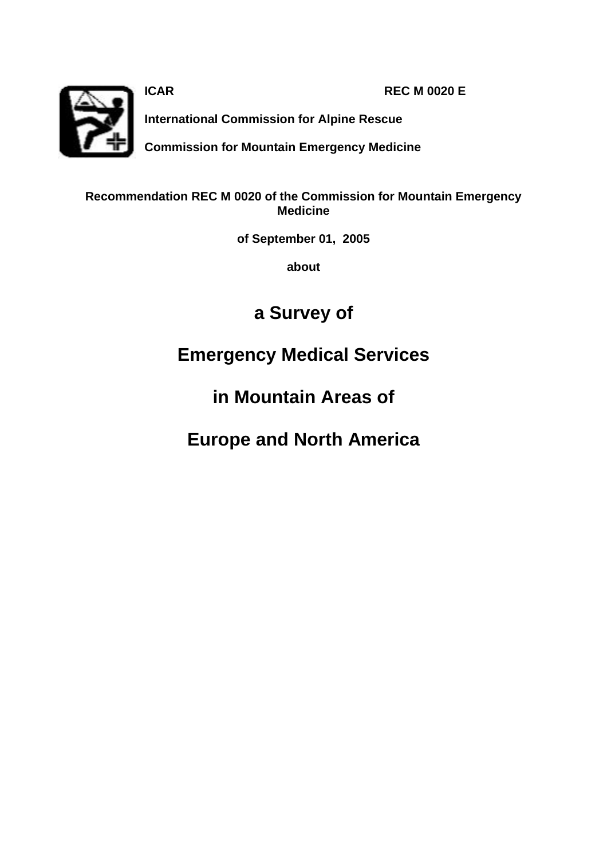

**ICAR REC M 0020 E** 

**International Commission for Alpine Rescue**

**Commission for Mountain Emergency Medicine**

# **Recommendation REC M 0020 of the Commission for Mountain Emergency Medicine**

**of September 01, 2005**

**about** 

# **a Survey of**

# **Emergency Medical Services**

# **in Mountain Areas of**

# **Europe and North America**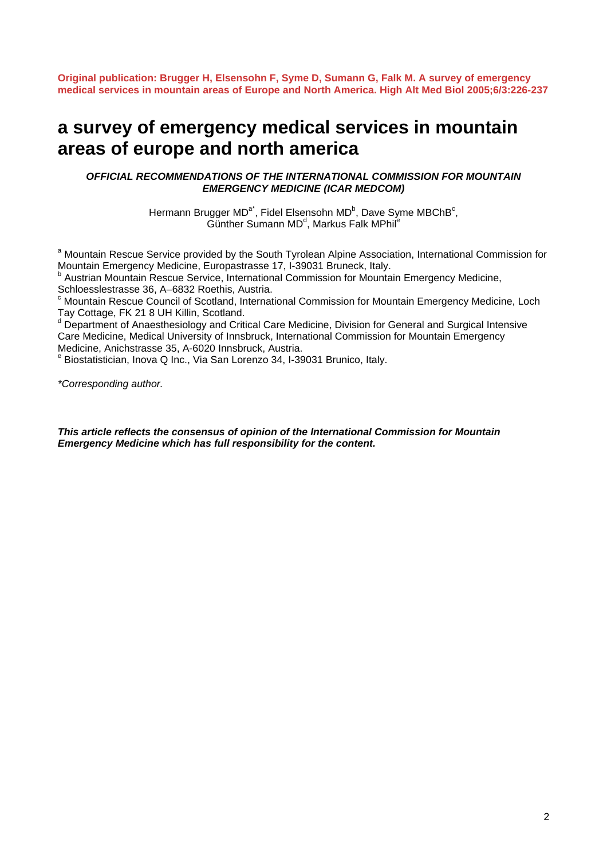**Original publication: Brugger H, Elsensohn F, Syme D, Sumann G, Falk M. A survey of emergency medical services in mountain areas of Europe and North America. High Alt Med Biol 2005;6/3:226-237**

# **a survey of emergency medical services in mountain areas of europe and north america**

### *OFFICIAL RECOMMENDATIONS OF THE INTERNATIONAL COMMISSION FOR MOUNTAIN EMERGENCY MEDICINE (ICAR MEDCOM)*

Hermann Brugger MD<sup>a\*</sup>, Fidel Elsensohn MD<sup>b</sup>, Dave Syme MBChB<sup>c</sup>,  $\breve{\mathsf{G}}$ ünther Sumann MD<sup>d</sup>, Markus Falk MPhil<sup>e</sup>

<sup>a</sup> Mountain Rescue Service provided by the South Tyrolean Alpine Association, International Commission for Mountain Emergency Medicine, Europastrasse 17, I-39031 Bruneck, Italy.

<sup>b</sup> Austrian Mountain Rescue Service, International Commission for Mountain Emergency Medicine, Schloesslestrasse 36, A–6832 Roethis, Austria.

<sup>c</sup> Mountain Rescue Council of Scotland, International Commission for Mountain Emergency Medicine, Loch Tay Cottage, FK 21 8 UH Killin, Scotland.

<sup>d</sup> Department of Anaesthesiology and Critical Care Medicine, Division for General and Surgical Intensive Care Medicine, Medical University of Innsbruck, International Commission for Mountain Emergency Medicine, Anichstrasse 35, A-6020 Innsbruck, Austria.

e Biostatistician, Inova Q Inc., Via San Lorenzo 34, I-39031 Brunico, Italy.

*\*Corresponding author.* 

*This article reflects the consensus of opinion of the International Commission for Mountain Emergency Medicine which has full responsibility for the content.*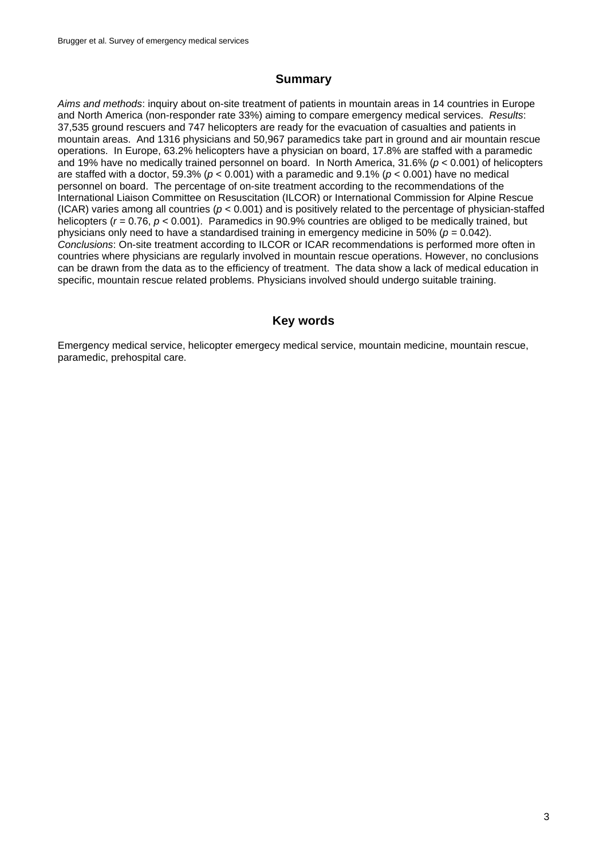# **Summary**

*Aims and methods*: inquiry about on-site treatment of patients in mountain areas in 14 countries in Europe and North America (non-responder rate 33%) aiming to compare emergency medical services. *Results*: 37,535 ground rescuers and 747 helicopters are ready for the evacuation of casualties and patients in mountain areas. And 1316 physicians and 50,967 paramedics take part in ground and air mountain rescue operations. In Europe, 63.2% helicopters have a physician on board, 17.8% are staffed with a paramedic and 19% have no medically trained personnel on board. In North America, 31.6% (*p* < 0.001) of helicopters are staffed with a doctor, 59.3% (*p* < 0.001) with a paramedic and 9.1% (*p* < 0.001) have no medical personnel on board. The percentage of on-site treatment according to the recommendations of the International Liaison Committee on Resuscitation (ILCOR) or International Commission for Alpine Rescue (ICAR) varies among all countries (*p* < 0.001) and is positively related to the percentage of physician-staffed helicopters (*r* = 0.76, *p* < 0.001). Paramedics in 90.9% countries are obliged to be medically trained, but physicians only need to have a standardised training in emergency medicine in 50% (*p* = 0.042). *Conclusions*: On-site treatment according to ILCOR or ICAR recommendations is performed more often in countries where physicians are regularly involved in mountain rescue operations. However, no conclusions can be drawn from the data as to the efficiency of treatment. The data show a lack of medical education in specific, mountain rescue related problems. Physicians involved should undergo suitable training.

# **Key words**

Emergency medical service, helicopter emergecy medical service, mountain medicine, mountain rescue, paramedic, prehospital care.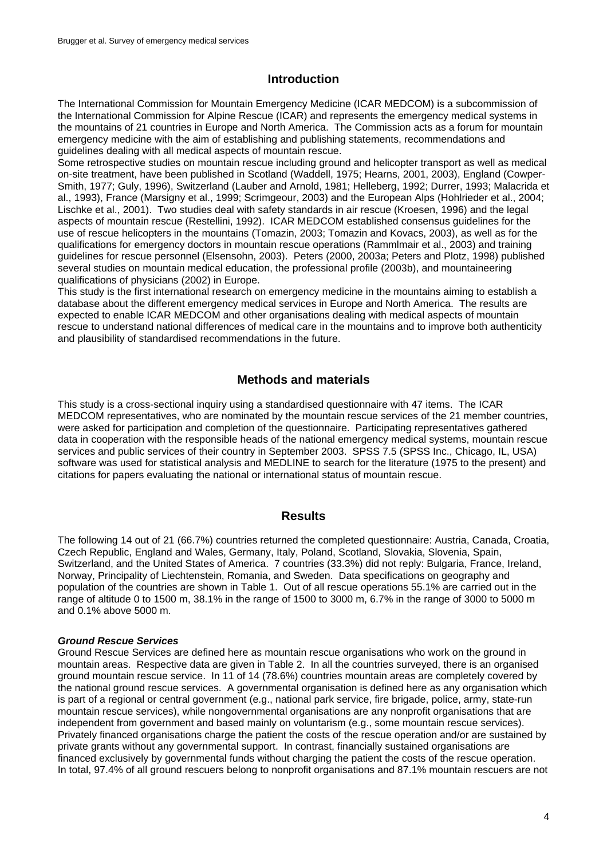## **Introduction**

The International Commission for Mountain Emergency Medicine (ICAR MEDCOM) is a subcommission of the International Commission for Alpine Rescue (ICAR) and represents the emergency medical systems in the mountains of 21 countries in Europe and North America. The Commission acts as a forum for mountain emergency medicine with the aim of establishing and publishing statements, recommendations and guidelines dealing with all medical aspects of mountain rescue.

Some retrospective studies on mountain rescue including ground and helicopter transport as well as medical on-site treatment, have been published in Scotland (Waddell, 1975; Hearns, 2001, 2003), England (Cowper-Smith, 1977; Guly, 1996), Switzerland (Lauber and Arnold, 1981; Helleberg, 1992; Durrer, 1993; Malacrida et al., 1993), France (Marsigny et al., 1999; Scrimgeour, 2003) and the European Alps (Hohlrieder et al., 2004; Lischke et al., 2001). Two studies deal with safety standards in air rescue (Kroesen, 1996) and the legal aspects of mountain rescue (Restellini, 1992). ICAR MEDCOM established consensus guidelines for the use of rescue helicopters in the mountains (Tomazin, 2003; Tomazin and Kovacs, 2003), as well as for the qualifications for emergency doctors in mountain rescue operations (Rammlmair et al., 2003) and training guidelines for rescue personnel (Elsensohn, 2003). Peters (2000, 2003a; Peters and Plotz, 1998) published several studies on mountain medical education, the professional profile (2003b), and mountaineering qualifications of physicians (2002) in Europe.

This study is the first international research on emergency medicine in the mountains aiming to establish a database about the different emergency medical services in Europe and North America. The results are expected to enable ICAR MEDCOM and other organisations dealing with medical aspects of mountain rescue to understand national differences of medical care in the mountains and to improve both authenticity and plausibility of standardised recommendations in the future.

## **Methods and materials**

This study is a cross-sectional inquiry using a standardised questionnaire with 47 items. The ICAR MEDCOM representatives, who are nominated by the mountain rescue services of the 21 member countries, were asked for participation and completion of the questionnaire. Participating representatives gathered data in cooperation with the responsible heads of the national emergency medical systems, mountain rescue services and public services of their country in September 2003. SPSS 7.5 (SPSS Inc., Chicago, IL, USA) software was used for statistical analysis and MEDLINE to search for the literature (1975 to the present) and citations for papers evaluating the national or international status of mountain rescue.

### **Results**

The following 14 out of 21 (66.7%) countries returned the completed questionnaire: Austria, Canada, Croatia, Czech Republic, England and Wales, Germany, Italy, Poland, Scotland, Slovakia, Slovenia, Spain, Switzerland, and the United States of America. 7 countries (33.3%) did not reply: Bulgaria, France, Ireland, Norway, Principality of Liechtenstein, Romania, and Sweden. Data specifications on geography and population of the countries are shown in Table 1. Out of all rescue operations 55.1% are carried out in the range of altitude 0 to 1500 m, 38.1% in the range of 1500 to 3000 m, 6.7% in the range of 3000 to 5000 m and 0.1% above 5000 m.

### *Ground Rescue Services*

Ground Rescue Services are defined here as mountain rescue organisations who work on the ground in mountain areas. Respective data are given in Table 2. In all the countries surveyed, there is an organised ground mountain rescue service. In 11 of 14 (78.6%) countries mountain areas are completely covered by the national ground rescue services. A governmental organisation is defined here as any organisation which is part of a regional or central government (e.g., national park service, fire brigade, police, army, state-run mountain rescue services), while nongovernmental organisations are any nonprofit organisations that are independent from government and based mainly on voluntarism (e.g., some mountain rescue services). Privately financed organisations charge the patient the costs of the rescue operation and/or are sustained by private grants without any governmental support. In contrast, financially sustained organisations are financed exclusively by governmental funds without charging the patient the costs of the rescue operation. In total, 97.4% of all ground rescuers belong to nonprofit organisations and 87.1% mountain rescuers are not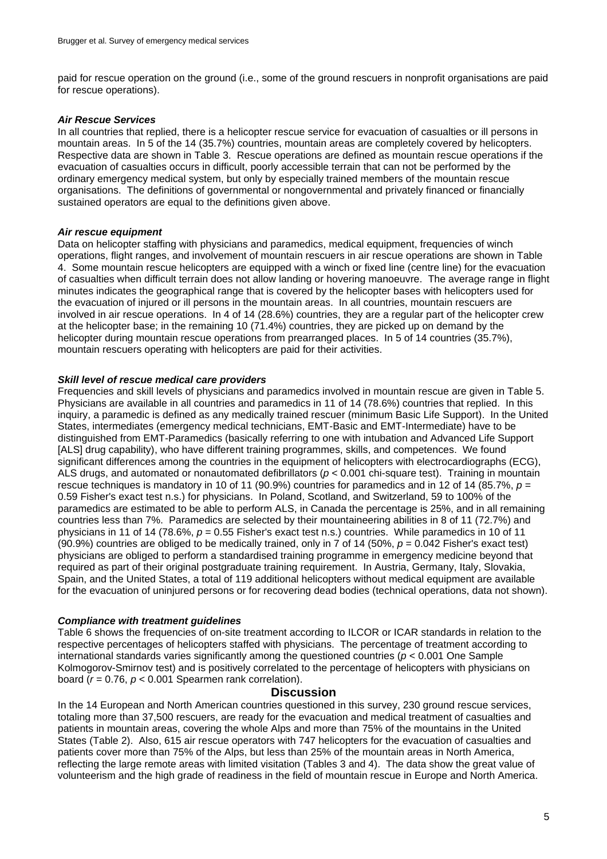paid for rescue operation on the ground (i.e., some of the ground rescuers in nonprofit organisations are paid for rescue operations).

### *Air Rescue Services*

In all countries that replied, there is a helicopter rescue service for evacuation of casualties or ill persons in mountain areas. In 5 of the 14 (35.7%) countries, mountain areas are completely covered by helicopters. Respective data are shown in Table 3. Rescue operations are defined as mountain rescue operations if the evacuation of casualties occurs in difficult, poorly accessible terrain that can not be performed by the ordinary emergency medical system, but only by especially trained members of the mountain rescue organisations. The definitions of governmental or nongovernmental and privately financed or financially sustained operators are equal to the definitions given above.

#### *Air rescue equipment*

Data on helicopter staffing with physicians and paramedics, medical equipment, frequencies of winch operations, flight ranges, and involvement of mountain rescuers in air rescue operations are shown in Table 4. Some mountain rescue helicopters are equipped with a winch or fixed line (centre line) for the evacuation of casualties when difficult terrain does not allow landing or hovering manoeuvre. The average range in flight minutes indicates the geographical range that is covered by the helicopter bases with helicopters used for the evacuation of injured or ill persons in the mountain areas. In all countries, mountain rescuers are involved in air rescue operations. In 4 of 14 (28.6%) countries, they are a regular part of the helicopter crew at the helicopter base; in the remaining 10 (71.4%) countries, they are picked up on demand by the helicopter during mountain rescue operations from prearranged places. In 5 of 14 countries (35.7%), mountain rescuers operating with helicopters are paid for their activities.

#### *Skill level of rescue medical care providers*

Frequencies and skill levels of physicians and paramedics involved in mountain rescue are given in Table 5. Physicians are available in all countries and paramedics in 11 of 14 (78.6%) countries that replied. In this inquiry, a paramedic is defined as any medically trained rescuer (minimum Basic Life Support). In the United States, intermediates (emergency medical technicians, EMT-Basic and EMT-Intermediate) have to be distinguished from EMT-Paramedics (basically referring to one with intubation and Advanced Life Support [ALS] drug capability), who have different training programmes, skills, and competences. We found significant differences among the countries in the equipment of helicopters with electrocardiographs (ECG), ALS drugs, and automated or nonautomated defibrillators (*p* < 0.001 chi-square test). Training in mountain rescue techniques is mandatory in 10 of 11 (90.9%) countries for paramedics and in 12 of 14 (85.7%, *p* = 0.59 Fisher's exact test n.s.) for physicians. In Poland, Scotland, and Switzerland, 59 to 100% of the paramedics are estimated to be able to perform ALS, in Canada the percentage is 25%, and in all remaining countries less than 7%. Paramedics are selected by their mountaineering abilities in 8 of 11 (72.7%) and physicians in 11 of 14 (78.6%, *p* = 0.55 Fisher's exact test n.s.) countries. While paramedics in 10 of 11 (90.9%) countries are obliged to be medically trained, only in 7 of 14 (50%, *p* = 0.042 Fisher's exact test) physicians are obliged to perform a standardised training programme in emergency medicine beyond that required as part of their original postgraduate training requirement. In Austria, Germany, Italy, Slovakia, Spain, and the United States, a total of 119 additional helicopters without medical equipment are available for the evacuation of uninjured persons or for recovering dead bodies (technical operations, data not shown).

### *Compliance with treatment guidelines*

Table 6 shows the frequencies of on-site treatment according to ILCOR or ICAR standards in relation to the respective percentages of helicopters staffed with physicians. The percentage of treatment according to international standards varies significantly among the questioned countries (*p* < 0.001 One Sample Kolmogorov-Smirnov test) and is positively correlated to the percentage of helicopters with physicians on board (*r* = 0.76, *p* < 0.001 Spearmen rank correlation).

#### **Discussion**

In the 14 European and North American countries questioned in this survey, 230 ground rescue services, totaling more than 37,500 rescuers, are ready for the evacuation and medical treatment of casualties and patients in mountain areas, covering the whole Alps and more than 75% of the mountains in the United States (Table 2). Also, 615 air rescue operators with 747 helicopters for the evacuation of casualties and patients cover more than 75% of the Alps, but less than 25% of the mountain areas in North America, reflecting the large remote areas with limited visitation (Tables 3 and 4). The data show the great value of volunteerism and the high grade of readiness in the field of mountain rescue in Europe and North America.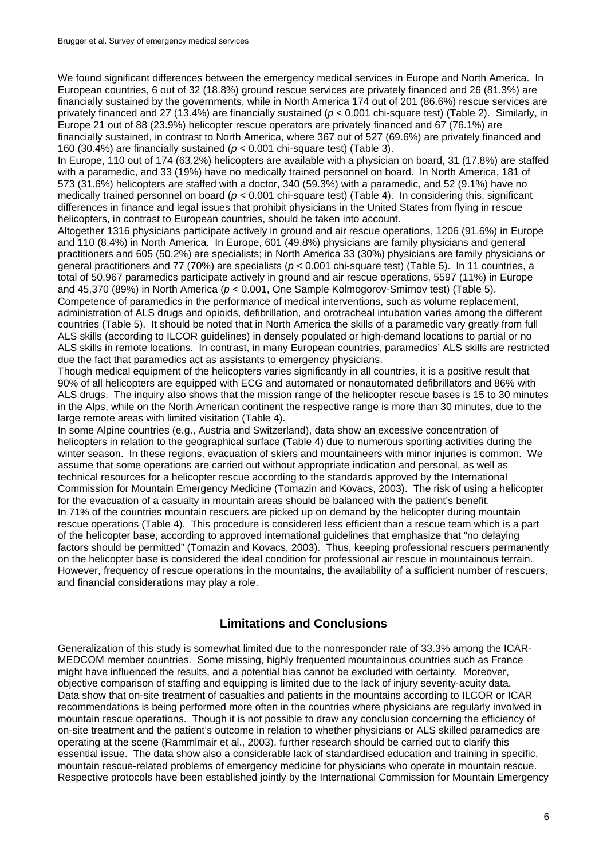We found significant differences between the emergency medical services in Europe and North America. In European countries, 6 out of 32 (18.8%) ground rescue services are privately financed and 26 (81.3%) are financially sustained by the governments, while in North America 174 out of 201 (86.6%) rescue services are privately financed and 27 (13.4%) are financially sustained (*p* < 0.001 chi-square test) (Table 2). Similarly, in Europe 21 out of 88 (23.9%) helicopter rescue operators are privately financed and 67 (76.1%) are financially sustained, in contrast to North America, where 367 out of 527 (69.6%) are privately financed and 160 (30.4%) are financially sustained (*p* < 0.001 chi-square test) (Table 3).

In Europe, 110 out of 174 (63.2%) helicopters are available with a physician on board, 31 (17.8%) are staffed with a paramedic, and 33 (19%) have no medically trained personnel on board. In North America, 181 of 573 (31.6%) helicopters are staffed with a doctor, 340 (59.3%) with a paramedic, and 52 (9.1%) have no medically trained personnel on board (*p* < 0.001 chi-square test) (Table 4). In considering this, significant differences in finance and legal issues that prohibit physicians in the United States from flying in rescue helicopters, in contrast to European countries, should be taken into account.

Altogether 1316 physicians participate actively in ground and air rescue operations, 1206 (91.6%) in Europe and 110 (8.4%) in North America. In Europe, 601 (49.8%) physicians are family physicians and general practitioners and 605 (50.2%) are specialists; in North America 33 (30%) physicians are family physicians or general practitioners and 77 (70%) are specialists (*p* < 0.001 chi-square test) (Table 5). In 11 countries, a total of 50,967 paramedics participate actively in ground and air rescue operations, 5597 (11%) in Europe and 45,370 (89%) in North America (*p* < 0.001, One Sample Kolmogorov-Smirnov test) (Table 5). Competence of paramedics in the performance of medical interventions, such as volume replacement, administration of ALS drugs and opioids, defibrillation, and orotracheal intubation varies among the different countries (Table 5). It should be noted that in North America the skills of a paramedic vary greatly from full ALS skills (according to ILCOR guidelines) in densely populated or high-demand locations to partial or no ALS skills in remote locations. In contrast, in many European countries, paramedics' ALS skills are restricted

due the fact that paramedics act as assistants to emergency physicians. Though medical equipment of the helicopters varies significantly in all countries, it is a positive result that 90% of all helicopters are equipped with ECG and automated or nonautomated defibrillators and 86% with ALS drugs. The inquiry also shows that the mission range of the helicopter rescue bases is 15 to 30 minutes in the Alps, while on the North American continent the respective range is more than 30 minutes, due to the large remote areas with limited visitation (Table 4).

In some Alpine countries (e.g., Austria and Switzerland), data show an excessive concentration of helicopters in relation to the geographical surface (Table 4) due to numerous sporting activities during the winter season. In these regions, evacuation of skiers and mountaineers with minor injuries is common. We assume that some operations are carried out without appropriate indication and personal, as well as technical resources for a helicopter rescue according to the standards approved by the International Commission for Mountain Emergency Medicine (Tomazin and Kovacs, 2003). The risk of using a helicopter for the evacuation of a casualty in mountain areas should be balanced with the patient's benefit. In 71% of the countries mountain rescuers are picked up on demand by the helicopter during mountain rescue operations (Table 4). This procedure is considered less efficient than a rescue team which is a part of the helicopter base, according to approved international guidelines that emphasize that "no delaying factors should be permitted" (Tomazin and Kovacs, 2003). Thus, keeping professional rescuers permanently on the helicopter base is considered the ideal condition for professional air rescue in mountainous terrain. However, frequency of rescue operations in the mountains, the availability of a sufficient number of rescuers, and financial considerations may play a role.

## **Limitations and Conclusions**

Generalization of this study is somewhat limited due to the nonresponder rate of 33.3% among the ICAR-MEDCOM member countries. Some missing, highly frequented mountainous countries such as France might have influenced the results, and a potential bias cannot be excluded with certainty. Moreover, objective comparison of staffing and equipping is limited due to the lack of injury severity-acuity data. Data show that on-site treatment of casualties and patients in the mountains according to ILCOR or ICAR recommendations is being performed more often in the countries where physicians are regularly involved in mountain rescue operations. Though it is not possible to draw any conclusion concerning the efficiency of on-site treatment and the patient's outcome in relation to whether physicians or ALS skilled paramedics are operating at the scene (Rammlmair et al., 2003), further research should be carried out to clarify this essential issue. The data show also a considerable lack of standardised education and training in specific, mountain rescue-related problems of emergency medicine for physicians who operate in mountain rescue. Respective protocols have been established jointly by the International Commission for Mountain Emergency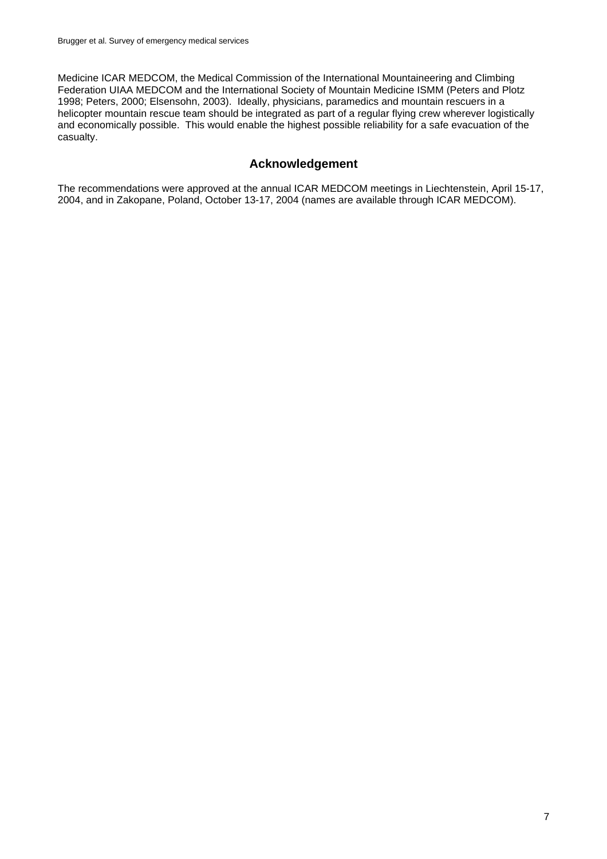Medicine ICAR MEDCOM, the Medical Commission of the International Mountaineering and Climbing Federation UIAA MEDCOM and the International Society of Mountain Medicine ISMM (Peters and Plotz 1998; Peters, 2000; Elsensohn, 2003). Ideally, physicians, paramedics and mountain rescuers in a helicopter mountain rescue team should be integrated as part of a regular flying crew wherever logistically and economically possible. This would enable the highest possible reliability for a safe evacuation of the casualty.

# **Acknowledgement**

The recommendations were approved at the annual ICAR MEDCOM meetings in Liechtenstein, April 15-17, 2004, and in Zakopane, Poland, October 13-17, 2004 (names are available through ICAR MEDCOM).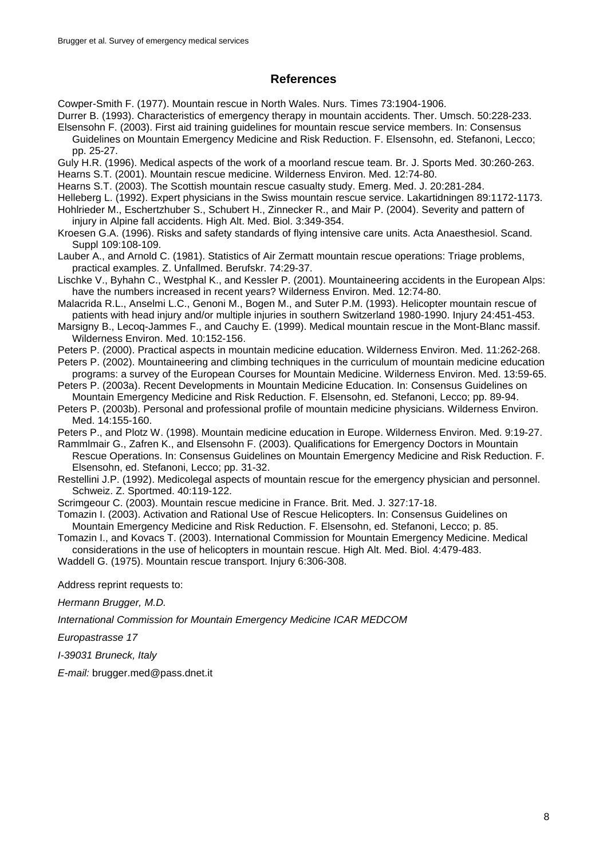## **References**

Cowper-Smith F. (1977). Mountain rescue in North Wales. Nurs. Times 73:1904-1906.

Durrer B. (1993). Characteristics of emergency therapy in mountain accidents. Ther. Umsch. 50:228-233. Elsensohn F. (2003). First aid training guidelines for mountain rescue service members. In: Consensus

Guidelines on Mountain Emergency Medicine and Risk Reduction. F. Elsensohn, ed. Stefanoni, Lecco; pp. 25-27.

Guly H.R. (1996). Medical aspects of the work of a moorland rescue team. Br. J. Sports Med. 30:260-263.

Hearns S.T. (2001). Mountain rescue medicine. Wilderness Environ. Med. 12:74-80.

Hearns S.T. (2003). The Scottish mountain rescue casualty study. Emerg. Med. J. 20:281-284.

Helleberg L. (1992). Expert physicians in the Swiss mountain rescue service. Lakartidningen 89:1172-1173.

Hohlrieder M., Eschertzhuber S., Schubert H., Zinnecker R., and Mair P. (2004). Severity and pattern of injury in Alpine fall accidents. High Alt. Med. Biol. 3:349-354.

Kroesen G.A. (1996). Risks and safety standards of flying intensive care units. Acta Anaesthesiol. Scand. Suppl 109:108-109.

Lauber A., and Arnold C. (1981). Statistics of Air Zermatt mountain rescue operations: Triage problems, practical examples. Z. Unfallmed. Berufskr. 74:29-37.

Lischke V., Byhahn C., Westphal K., and Kessler P. (2001). Mountaineering accidents in the European Alps: have the numbers increased in recent years? Wilderness Environ. Med. 12:74-80.

Malacrida R.L., Anselmi L.C., Genoni M., Bogen M., and Suter P.M. (1993). Helicopter mountain rescue of patients with head injury and/or multiple injuries in southern Switzerland 1980-1990. Injury 24:451-453.

Marsigny B., Lecoq-Jammes F., and Cauchy E. (1999). Medical mountain rescue in the Mont-Blanc massif. Wilderness Environ. Med. 10:152-156.

Peters P. (2000). Practical aspects in mountain medicine education. Wilderness Environ. Med. 11:262-268.

Peters P. (2002). Mountaineering and climbing techniques in the curriculum of mountain medicine education programs: a survey of the European Courses for Mountain Medicine. Wilderness Environ. Med. 13:59-65.

Peters P. (2003a). Recent Developments in Mountain Medicine Education. In: Consensus Guidelines on Mountain Emergency Medicine and Risk Reduction. F. Elsensohn, ed. Stefanoni, Lecco; pp. 89-94.

Peters P. (2003b). Personal and professional profile of mountain medicine physicians. Wilderness Environ. Med. 14:155-160.

Peters P., and Plotz W. (1998). Mountain medicine education in Europe. Wilderness Environ. Med. 9:19-27. Rammlmair G., Zafren K., and Elsensohn F. (2003). Qualifications for Emergency Doctors in Mountain

Rescue Operations. In: Consensus Guidelines on Mountain Emergency Medicine and Risk Reduction. F. Elsensohn, ed. Stefanoni, Lecco; pp. 31-32.

Restellini J.P. (1992). Medicolegal aspects of mountain rescue for the emergency physician and personnel. Schweiz. Z. Sportmed. 40:119-122.

Scrimgeour C. (2003). Mountain rescue medicine in France. Brit. Med. J. 327:17-18.

Tomazin I. (2003). Activation and Rational Use of Rescue Helicopters. In: Consensus Guidelines on Mountain Emergency Medicine and Risk Reduction. F. Elsensohn, ed. Stefanoni, Lecco; p. 85.

Tomazin I., and Kovacs T. (2003). International Commission for Mountain Emergency Medicine. Medical considerations in the use of helicopters in mountain rescue. High Alt. Med. Biol. 4:479-483.

Waddell G. (1975). Mountain rescue transport. Injury 6:306-308.

Address reprint requests to:

*Hermann Brugger, M.D.*

*International Commission for Mountain Emergency Medicine ICAR MEDCOM*

*Europastrasse 17*

*I-39031 Bruneck, Italy*

*E-mail:* brugger.med@pass.dnet.it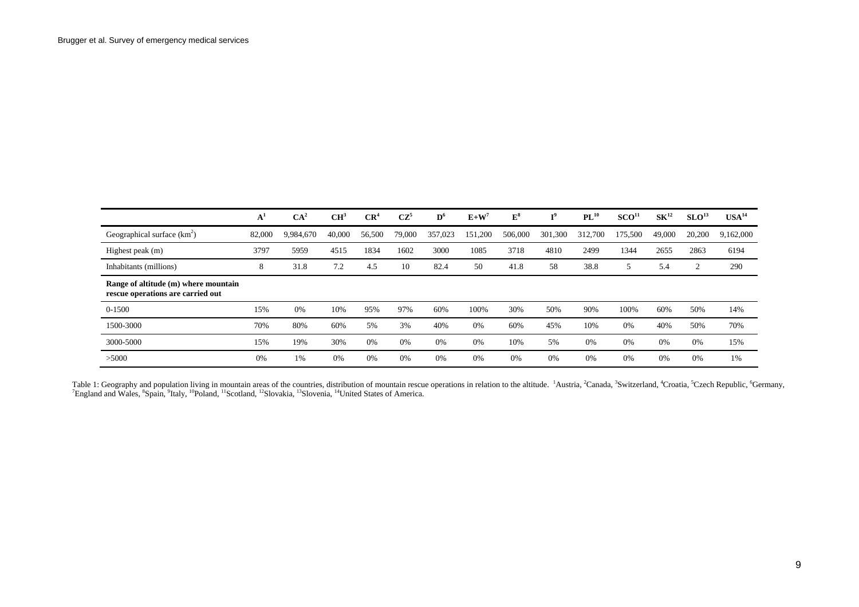|                                                                           | ${\bf A}^1$ | CA <sup>2</sup> | CH <sup>3</sup> | CR <sup>4</sup> | $CZ^5$ | $\mathbf{D}^6$ | $\mathbf{E+W}^7$ | ${\bf E^8}$ | т9      | $PL^{10}$ | SCO <sup>11</sup> | SK <sup>12</sup> | SLO <sup>13</sup> | USA <sup>14</sup> |
|---------------------------------------------------------------------------|-------------|-----------------|-----------------|-----------------|--------|----------------|------------------|-------------|---------|-----------|-------------------|------------------|-------------------|-------------------|
| Geographical surface $(km^2)$                                             | 82,000      | 9.984.670       | 40,000          | 56,500          | 79,000 | 357.023        | 151.200          | 506,000     | 301,300 | 312,700   | 175,500           | 49,000           | 20,200            | 9,162,000         |
| Highest peak (m)                                                          | 3797        | 5959            | 4515            | 1834            | 1602   | 3000           | 1085             | 3718        | 4810    | 2499      | 1344              | 2655             | 2863              | 6194              |
| Inhabitants (millions)                                                    | 8           | 31.8            | 7.2             | 4.5             | 10     | 82.4           | 50               | 41.8        | 58      | 38.8      | 5                 | 5.4              | 2                 | 290               |
| Range of altitude (m) where mountain<br>rescue operations are carried out |             |                 |                 |                 |        |                |                  |             |         |           |                   |                  |                   |                   |
| 0-1500                                                                    | 15%         | 0%              | 10%             | 95%             | 97%    | 60%            | 100%             | 30%         | 50%     | 90%       | 100%              | 60%              | 50%               | 14%               |
| 1500-3000                                                                 | 70%         | 80%             | 60%             | 5%              | 3%     | 40%            | 0%               | 60%         | 45%     | 10%       | 0%                | 40%              | 50%               | 70%               |
| 3000-5000                                                                 | 15%         | 19%             | 30%             | 0%              | 0%     | 0%             | 0%               | 10%         | 5%      | 0%        | 0%                | 0%               | 0%                | 15%               |
| >5000                                                                     | 0%          | 1%              | 0%              | 0%              | 0%     | 0%             | 0%               | 0%          | 0%      | 0%        | 0%                | 0%               | 0%                | 1%                |

Table 1: Geography and population living in mountain areas of the countries, distribution of mountain rescue operations in relation to the altitude. <sup>1</sup>Austria, <sup>2</sup>Canada, <sup>3</sup>Switzerland, <sup>4</sup>Croatia, <sup>5</sup>Czech Republic, <sup>6</sup> <sup>7</sup>England and Wales, <sup>8</sup>Spain, <sup>9</sup>Italy, <sup>10</sup>Poland, <sup>11</sup>Scotland, <sup>12</sup>Slovakia, <sup>13</sup>Slovenia, <sup>14</sup>United States of America.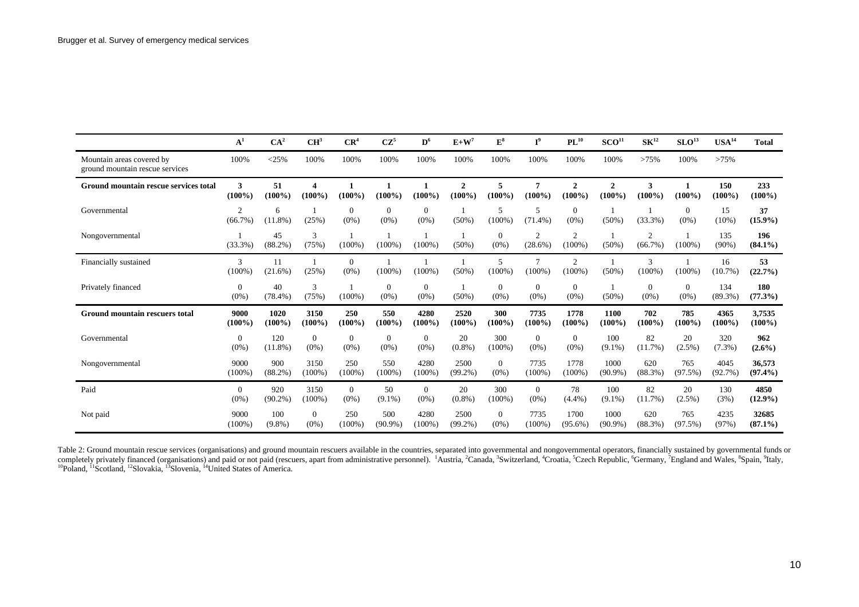|                                                              | $A^1$                        | CA <sup>2</sup>   | CH <sup>3</sup>           | CR <sup>4</sup>         | $CZ^5$                    | $\mathbf{D}^6$            | $E+W^7$                   | $\mathbf{E}^{\mathbf{8}}$ | $I^9$                     | $\mathbf{PL}^{10}$          | SCO <sup>11</sup>         | $\mathbf{SK}^{12}$           | SLO <sup>13</sup>   | $\mathbf{USA}^{14}$ | <b>Total</b>          |
|--------------------------------------------------------------|------------------------------|-------------------|---------------------------|-------------------------|---------------------------|---------------------------|---------------------------|---------------------------|---------------------------|-----------------------------|---------------------------|------------------------------|---------------------|---------------------|-----------------------|
| Mountain areas covered by<br>ground mountain rescue services | 100%                         | $<$ 25%           | 100%                      | 100%                    | 100%                      | 100%                      | 100%                      | 100%                      | 100%                      | 100%                        | 100%                      | >75%                         | 100%                | >75%                |                       |
| Ground mountain rescue services total                        | 3<br>$(100\%)$               | 51<br>$(100\%)$   | 4<br>$(100\%)$            | $(100\%)$               | $(100\%)$                 | $(100\%)$                 | $\mathbf{2}$<br>$(100\%)$ | 5<br>$(100\%)$            | 7<br>$(100\%)$            | $\mathbf{2}$<br>$(100\%)$   | $\mathbf{2}$<br>$(100\%)$ | 3<br>$(100\%)$               | $(100\%)$           | 150<br>$(100\%)$    | 233<br>$(100\%)$      |
| Governmental                                                 | $\mathfrak{D}$<br>$(66.7\%)$ | 6<br>$(11.8\%)$   | (25%)                     | $\Omega$<br>$(0\%)$     | $\Omega$<br>$(0\%)$       | $\Omega$<br>$(0\%)$       | $(50\%)$                  | 5<br>$(100\%)$            | 5<br>$(71.4\%)$           | $\Omega$<br>$(0\%)$         | (50%                      | (33.3%)                      | $\Omega$<br>$(0\%)$ | 15<br>$(10\%)$      | 37<br>$(15.9\%)$      |
| Nongovernmental                                              | (33.3%)                      | 45<br>$(88.2\%)$  | 3<br>(75%)                | $(100\%)$               | $(100\%)$                 | $(100\%)$                 | $(50\%)$                  | $\overline{0}$<br>$(0\%)$ | 2<br>$(28.6\%)$           | $\overline{c}$<br>$(100\%)$ | (50%)                     | $\overline{2}$<br>$(66.7\%)$ | $(100\%)$           | 135<br>$(90\%)$     | 196<br>$(84.1\%)$     |
| Financially sustained                                        | 3<br>$(100\%)$               | 11<br>$(21.6\%)$  | (25%)                     | $\mathbf{0}$<br>$(0\%)$ | $(100\%)$                 | $(100\%)$                 | $(50\%)$                  | 5<br>$(100\%)$            | $(100\%)$                 | 2<br>$(100\%$               | (50%                      | 3<br>$(100\%)$               | (100%               | 16<br>(10.7%        | 53<br>(22.7%)         |
| Privately financed                                           | $\mathbf{0}$<br>$(0\%)$      | 40<br>$(78.4\%)$  | 3<br>(75%)                | $(100\%)$               | $\theta$<br>$(0\%)$       | $\mathbf{0}$<br>$(0\%)$   | $(50\%)$                  | $\overline{0}$<br>$(0\%)$ | $\mathbf{0}$<br>$(0\%)$   | $\overline{0}$<br>$(0\%)$   | $(50\%)$                  | $\overline{0}$<br>$(0\%)$    | $\theta$<br>$(0\%)$ | 134<br>$(89.3\%)$   | <b>180</b><br>(77.3%) |
| <b>Ground mountain rescuers total</b>                        | 9000<br>$(100\%)$            | 1020<br>$(100\%)$ | 3150<br>$(100\%)$         | 250<br>$(100\%)$        | 550<br>$(100\%)$          | 4280<br>$(100\%)$         | 2520<br>$(100\%)$         | 300<br>$(100\%)$          | 7735<br>$(100\%)$         | 1778<br>$(100\%)$           | 1100<br>$(100\%)$         | 702<br>$(100\%$              | 785<br>$(100\%)$    | 4365<br>$(100\%)$   | 3,7535<br>$(100\%)$   |
| Governmental                                                 | $\mathbf{0}$<br>$(0\%)$      | 120<br>$(11.8\%)$ | $\overline{0}$<br>$(0\%)$ | $\mathbf{0}$<br>$(0\%)$ | $\overline{0}$<br>$(0\%)$ | $\overline{0}$<br>$(0\%)$ | 20<br>$(0.8\%)$           | 300<br>$(100\%)$          | $\overline{0}$<br>$(0\%)$ | $\overline{0}$<br>$(0\%)$   | 100<br>$(9.1\%)$          | 82<br>(11.7%)                | 20<br>$(2.5\%)$     | 320<br>$(7.3\%)$    | 962<br>$(2.6\%)$      |
| Nongovernmental                                              | 9000<br>$(100\%$             | 900<br>$(88.2\%)$ | 3150<br>$(100\%)$         | 250<br>$(100\%)$        | 550<br>$(100\%)$          | 4280<br>$(100\%)$         | 2500<br>$(99.2\%)$        | $\overline{0}$<br>$(0\%)$ | 7735<br>$(100\%)$         | 1778<br>$(100\%)$           | 1000<br>$(90.9\%)$        | 620<br>(88.3%)               | 765<br>$(97.5\%)$   | 4045<br>(92.7%)     | 36,573<br>$(97.4\%)$  |
| Paid                                                         | $\mathbf{0}$<br>$(0\%)$      | 920<br>$(90.2\%)$ | 3150<br>$(100\%)$         | $\mathbf{0}$<br>$(0\%)$ | 50<br>$(9.1\%)$           | $\overline{0}$<br>$(0\%)$ | 20<br>$(0.8\%)$           | 300<br>$(100\%)$          | $\overline{0}$<br>$(0\%)$ | 78<br>(4.4%)                | 100<br>$(9.1\%)$          | 82<br>(11.7%)                | 20<br>$(2.5\%)$     | 130<br>(3%)         | 4850<br>$(12.9\%)$    |
| Not paid                                                     | 9000<br>$(100\%)$            | 100<br>$(9.8\%)$  | $\Omega$<br>$(0\%)$       | 250<br>$(100\%)$        | 500<br>$(90.9\%)$         | 4280<br>$(100\%)$         | 2500<br>$(99.2\%)$        | $\Omega$<br>$(0\%)$       | 7735<br>$(100\%$          | 1700<br>$(95.6\%)$          | 1000<br>$(90.9\%)$        | 620<br>$(88.3\%)$            | 765<br>$(97.5\%)$   | 4235<br>(97%        | 32685<br>$(87.1\%)$   |

Table 2: Ground mountain rescue services (organisations) and ground mountain rescuers available in the countries, separated into governmental and nongovernmental operators, financially sustained by governmental funds or completely privately financed (organisations) and paid or not paid (rescuers, apart from administrative personnel). <sup>1</sup>Austria, <sup>2</sup>Canada, <sup>3</sup>Switzerland, <sup>4</sup>Croatia, <sup>5</sup>Czech Republic, <sup>6</sup>Germany, <sup>7</sup>England and Wales, <sup>8</sup> <sup>10</sup>Poland, <sup>11</sup>Scotland, <sup>12</sup>Slovakia, <sup>13</sup>Slovenia, <sup>14</sup>United States of America.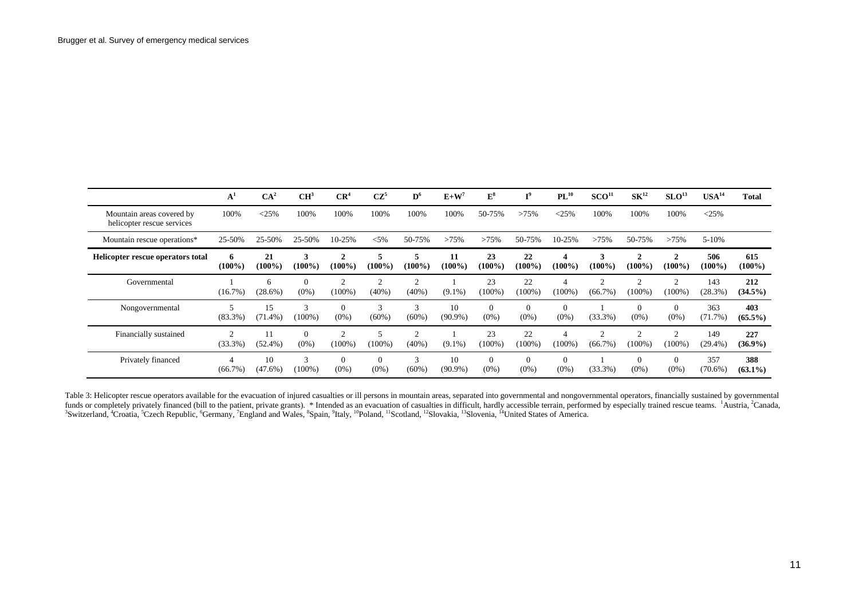|                                                         | ${\bf A^1}$       | CA <sup>2</sup>  | CH <sup>3</sup>                 | CR <sup>4</sup>             | $CZ^5$                    | $\mathbf{D}^6$             | $E+W^7$          | ${\bf E^8}$         | $T^9$                     | $PL^{10}$           | SCO <sup>11</sup>            | SK <sup>12</sup>          | SLO <sup>13</sup>           | USA <sup>14</sup> | <b>Total</b>      |
|---------------------------------------------------------|-------------------|------------------|---------------------------------|-----------------------------|---------------------------|----------------------------|------------------|---------------------|---------------------------|---------------------|------------------------------|---------------------------|-----------------------------|-------------------|-------------------|
| Mountain areas covered by<br>helicopter rescue services | 100%              | $<$ 25%          | 100%                            | 100%                        | 100%                      | 100%                       | 100%             | 50-75%              | >75%                      | $<$ 25%             | 100%                         | 100%                      | 100%                        | $<$ 25%           |                   |
| Mountain rescue operations*                             | 25-50%            | 25-50%           | 25-50%                          | 10-25%                      | $< 5\%$                   | 50-75%                     | >75%             | >75%                | 50-75%                    | 10-25%              | >75%                         | 50-75%                    | >75%                        | $5 - 10%$         |                   |
| Helicopter rescue operators total                       | 6<br>$(100\%)$    | 21<br>$(100\%)$  | 3<br>$(100\%)$                  | $\mathbf{2}$<br>$(100\%)$   | 5<br>(100%)               | 5<br>$(100\%)$             | 11<br>$(100\%)$  | 23<br>$(100\%)$     | 22<br>$(100\%)$           | 4<br>$(100\%)$      | 3<br>$(100\%)$               | $\mathbf{2}$<br>$(100\%)$ | $\mathbf{2}$<br>$(100\%)$   | 506<br>$(100\%)$  | 615<br>$(100\%)$  |
| Governmental                                            | $(16.7\%)$        | 6<br>(28.6%)     | $\Omega$<br>$(0\%)$             | $\overline{c}$<br>$(100\%)$ | $\overline{2}$<br>(40%)   | $\overline{c}$<br>(40%)    | $(9.1\%)$        | 23<br>$(100\%)$     | 22<br>$(100\%)$           | 4<br>$(100\%)$      | $\bigcap$<br>$(66.7\%)$      | $\sim$<br>$(100\%)$       | $\bigcap$<br>$(100\%)$      | 143<br>(28.3%)    | 212<br>$(34.5\%)$ |
| Nongovernmental                                         | $(83.3\%)$        | 15<br>$(71.4\%)$ | 3<br>$(100\%)$                  | $\theta$<br>$(0\%)$         | $\mathcal{R}$<br>$(60\%)$ | $\mathcal{R}$<br>$(60\%)$  | 10<br>$(90.9\%)$ | $\Omega$<br>$(0\%)$ | $\overline{0}$<br>$(0\%)$ | $\Omega$<br>$(0\%)$ | (33.3%)                      | $\Omega$<br>$(0\%)$       | $\Omega$<br>$(0\%)$         | 363<br>(71.7%)    | 403<br>$(65.5\%)$ |
| Financially sustained                                   | $\sim$<br>(33.3%) | $(52.4\%)$       | $\overline{0}$<br>$(0\%)$       | $\overline{2}$<br>$(100\%)$ | $(100\%)$                 | $\overline{2}$<br>$(40\%)$ | $(9.1\%)$        | 23<br>$(100\%)$     | 22<br>$(100\%)$           | 4<br>$(100\%)$      | $\overline{c}$<br>$(66.7\%)$ | ി<br>$(100\%)$            | $\overline{c}$<br>$(100\%)$ | 149<br>(29.4%     | 227<br>$(36.9\%)$ |
| Privately financed                                      | 4<br>$(66.7\%)$   | 10<br>$(47.6\%)$ | $\sim$<br>$\Delta$<br>$(100\%)$ | $\theta$<br>$(0\%)$         | $\Omega$<br>$(0\%)$       | 3<br>$(60\%)$              | 10<br>$(90.9\%)$ | $\theta$<br>$(0\%)$ | $\theta$<br>$(0\%)$       | $\theta$<br>$(0\%)$ | (33.3%)                      | $\Omega$<br>$(0\%)$       | $\Omega$<br>$(0\%)$         | 357<br>$(70.6\%)$ | 388<br>$(63.1\%)$ |

Table 3: Helicopter rescue operators available for the evacuation of injured casualties or ill persons in mountain areas, separated into governmental and nongovernmental operators, financially sustained by governmental funds or completely privately financed (bill to the patient, private grants). \* Intended as an evacuation of casualties in difficult, hardly accessible terrain, performed by especially trained rescue teams. <sup>1</sup>Austria, <sup>2</sup>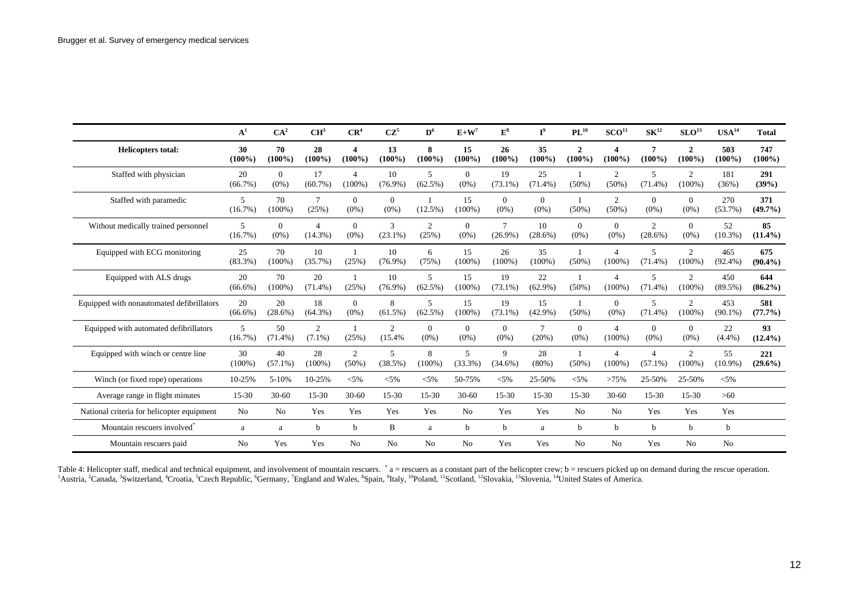|                                            | $A^1$            | CA <sup>2</sup>     | CH <sup>3</sup>              | CR <sup>4</sup>             | $CZ^5$                     | $D^6$                        | $E+W^7$             | $E^8$                | $I^9$               | $\mathbf{PL}^{10}$        | SCO <sup>11</sup>                  | $\mathbf{SK}^{12}$           | SLO <sup>13</sup>           | $\n  USA14\n$     | <b>Total</b>      |
|--------------------------------------------|------------------|---------------------|------------------------------|-----------------------------|----------------------------|------------------------------|---------------------|----------------------|---------------------|---------------------------|------------------------------------|------------------------------|-----------------------------|-------------------|-------------------|
| <b>Helicopters total:</b>                  | 30<br>$(100\%)$  | 70<br>$(100\%)$     | 28<br>$(100\%)$              | 4<br>$(100\%)$              | 13<br>$(100\%)$            | 8<br>$(100\%)$               | 15<br>$(100\%)$     | 26<br>$(100\%)$      | 35<br>$(100\%)$     | $\mathbf{2}$<br>$(100\%)$ | 4<br>$(100\%)$                     | 7<br>$(100\%)$               | $\overline{2}$<br>$(100\%)$ | 503<br>$(100\%)$  | 747<br>$(100\%)$  |
| Staffed with physician                     | 20<br>$(66.7\%)$ | $\Omega$<br>$(0\%)$ | 17<br>$(60.7\%)$             | $\overline{4}$<br>$(100\%)$ | 10<br>$(76.9\%)$           | $\overline{5}$<br>$(62.5\%)$ | $\Omega$<br>$(0\%)$ | 19<br>$(73.1\%)$     | 25<br>$(71.4\%)$    | $(50\%)$                  | 2<br>$(50\%)$                      | $\sim$<br>$(71.4\%)$         | 2<br>$(100\%)$              | 181<br>(36%)      | 291<br>(39%)      |
| Staffed with paramedic                     | 5<br>$(16.7\%)$  | 70<br>$(100\%)$     | $\tau$<br>(25%)              | $\Omega$<br>$(0\%)$         | $\Omega$<br>$(0\%)$        | $(12.5\%)$                   | 15<br>$(100\%)$     | $\Omega$<br>$(0\%)$  | $\Omega$<br>$(0\%)$ | $(50\%)$                  | 2<br>$(50\%)$                      | $\Omega$<br>$(0\%)$          | $\Omega$<br>$(0\%)$         | 270<br>$(53.7\%)$ | 371<br>$(49.7\%)$ |
| Without medically trained personnel        | 5<br>(16.7%)     | $\Omega$<br>$(0\%)$ | $\overline{4}$<br>$(14.3\%)$ | $\theta$<br>$(0\%)$         | 3<br>$(23.1\%)$            | 2<br>(25%)                   | $\theta$<br>$(0\%)$ | $\tau$<br>$(26.9\%)$ | 10<br>$(28.6\%)$    | $\theta$<br>$(0\%)$       | $\Omega$<br>$(0\%)$                | $\mathbf{2}$<br>$(28.6\%)$   | $\Omega$<br>$(0\%)$         | 52<br>$(10.3\%)$  | 85<br>$(11.4\%)$  |
| Equipped with ECG monitoring               | 25<br>$(83.3\%)$ | 70<br>$(100\%)$     | 10<br>$(35.7\%)$             | (25%)                       | 10<br>$(76.9\%)$           | 6<br>(75%)                   | 15<br>$(100\%)$     | 26<br>$(100\%)$      | 35<br>$(100\%)$     | $(50\%)$                  | $\boldsymbol{\Delta}$<br>$(100\%)$ | 5<br>$(71.4\%)$              | 2<br>$(100\%)$              | 465<br>$(92.4\%)$ | 675<br>$(90.4\%)$ |
| Equipped with ALS drugs                    | 20<br>$(66.6\%)$ | 70<br>$(100\%)$     | 20<br>$(71.4\%)$             | (25%)                       | 10<br>$(76.9\%)$           | 5<br>$(62.5\%)$              | 15<br>$(100\%)$     | 19<br>$(73.1\%)$     | 22<br>$(62.9\%)$    | $(50\%)$                  | $\boldsymbol{\Delta}$<br>$(100\%)$ | 5<br>$(71.4\%)$              | $\overline{2}$<br>$(100\%)$ | 450<br>$(89.5\%)$ | 644<br>$(86.2\%)$ |
| Equipped with nonautomated defibrillators  | 20<br>$(66.6\%)$ | 20<br>$(28.6\%)$    | 18<br>$(64.3\%)$             | $\theta$<br>$(0\%)$         | $\mathbf{8}$<br>$(61.5\%)$ | $\overline{5}$<br>$(62.5\%)$ | 15<br>$(100\%)$     | 19<br>$(73.1\%)$     | 15<br>$(42.9\%)$    | $(50\%)$                  | $\Omega$<br>$(0\%)$                | 5<br>$(71.4\%)$              | 2<br>$(100\%)$              | 453<br>$(90.1\%)$ | 581<br>$(77.7\%)$ |
| Equipped with automated defibrillators     | 5<br>$(16.7\%)$  | 50<br>$(71.4\%)$    | $\overline{2}$<br>$(7.1\%)$  | (25%)                       | 2<br>(15.4%                | $\Omega$<br>$(0\%)$          | $\theta$<br>$(0\%)$ | $\Omega$<br>$(0\%)$  | $\tau$<br>(20%)     | $\theta$<br>$(0\%)$       | $\overline{4}$<br>$(100\%)$        | $\Omega$<br>$(0\%)$          | $\Omega$<br>$(0\%)$         | 22<br>(4.4%)      | 93<br>$(12.4\%)$  |
| Equipped with winch or centre line         | 30<br>$(100\%)$  | 40<br>$(57.1\%)$    | 28<br>$(100\%)$              | 2<br>$(50\%)$               | 5<br>(38.5%)               | 8<br>$(100\%)$               | 5<br>$(33.3\%)$     | 9<br>$(34.6\%)$      | 28<br>$(80\%)$      | $(50\%)$                  | 4<br>$(100\%)$                     | $\overline{4}$<br>$(57.1\%)$ | 2<br>$(100\%)$              | 55<br>$(10.9\%)$  | 221<br>$(29.6\%)$ |
| Winch (or fixed rope) operations           | 10-25%           | 5-10%               | 10-25%                       | $< 5\%$                     | $< 5\%$                    | $< 5\%$                      | 50-75%              | $< 5\%$              | 25-50%              | $< 5\%$                   | >75%                               | 25-50%                       | 25-50%                      | $< 5\%$           |                   |
| Average range in flight minutes            | $15 - 30$        | $30 - 60$           | 15-30                        | $30 - 60$                   | 15-30                      | 15-30                        | $30 - 60$           | 15-30                | 15-30               | $15 - 30$                 | $30 - 60$                          | $15 - 30$                    | $15-30$                     | $>60$             |                   |
| National criteria for helicopter equipment | No               | <b>No</b>           | Yes                          | Yes                         | Yes                        | Yes                          | No                  | Yes                  | Yes                 | No                        | No                                 | Yes                          | Yes                         | Yes               |                   |
| Mountain rescuers involved                 | a                | a                   | b                            | b                           | B                          | a                            | b                   | b                    | a                   | b                         | b                                  | $\mathbf b$                  | b                           | b                 |                   |
| Mountain rescuers paid                     | N <sub>o</sub>   | Yes                 | Yes                          | N <sub>0</sub>              | N <sub>o</sub>             | N <sub>o</sub>               | No                  | Yes                  | Yes                 | N <sub>o</sub>            | No                                 | Yes                          | N <sub>0</sub>              | N <sub>o</sub>    |                   |

Table 4: Helicopter staff, medical and technical equipment, and involvement of mountain rescuers. \* a = rescuers as a constant part of the helicopter crew; b = rescuers picked up on demand during the rescue operation. <sup>1</sup>Austria, <sup>2</sup>Canada, <sup>3</sup>Switzerland, <sup>4</sup>Croatia, <sup>5</sup>Czech Republic, <sup>6</sup>Germany, <sup>7</sup>England and Wales, <sup>8</sup>Spain, <sup>9</sup>Italy, <sup>10</sup>Poland, <sup>11</sup>Scotland, <sup>12</sup>Slovakia, <sup>13</sup>Slovenia, <sup>14</sup>United States of America.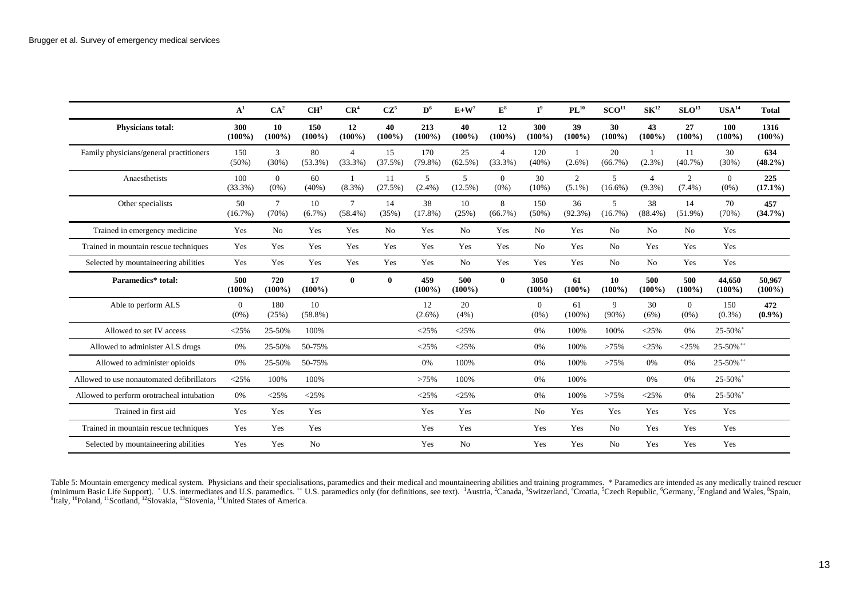|                                            | A <sup>1</sup>      | CA <sup>2</sup>     | CH <sup>3</sup>  | CR <sup>4</sup>           | $CZ^5$          | $\mathbf{D}^6$    | $E+W^7$                      | ${\bf E^3}$               | $I^9$               | $PL^{10}$        | SCO <sup>11</sup> | $\text{SK}^{12}$            | SLO <sup>13</sup>           | USA <sup>14</sup>         | <b>Total</b>        |
|--------------------------------------------|---------------------|---------------------|------------------|---------------------------|-----------------|-------------------|------------------------------|---------------------------|---------------------|------------------|-------------------|-----------------------------|-----------------------------|---------------------------|---------------------|
| <b>Physicians total:</b>                   | 300<br>$(100\%)$    | 10<br>$(100\%)$     | 150<br>$(100\%)$ | 12<br>$(100\%)$           | 40<br>$(100\%)$ | 213<br>$(100\%)$  | 40<br>$(100\%)$              | 12<br>$(100\%)$           | 300<br>$(100\%)$    | 39<br>$(100\%)$  | 30<br>$(100\%)$   | 43<br>$(100\%)$             | 27<br>$(100\%)$             | 100<br>$(100\%)$          | 1316<br>$(100\%)$   |
| Family physicians/general practitioners    | 150<br>$(50\%)$     | 3<br>(30%)          | 80<br>$(53.3\%)$ | $\overline{4}$<br>(33.3%) | 15<br>(37.5%)   | 170<br>$(79.8\%)$ | 25<br>$(62.5\%)$             | $\overline{4}$<br>(33.3%) | 120<br>$(40\%)$     | $(2.6\%)$        | 20<br>(66.7%)     | $(2.3\%)$                   | 11<br>$(40.7\%)$            | 30<br>(30%)               | 634<br>$(48.2\%)$   |
| Anaesthetists                              | 100<br>(33.3%)      | $\Omega$<br>$(0\%)$ | 60<br>$(40\%)$   | -1<br>$(8.3\%)$           | 11<br>(27.5%)   | 5<br>$(2.4\%)$    | $\mathfrak{F}$<br>$(12.5\%)$ | $\Omega$<br>$(0\%)$       | 30<br>$(10\%)$      | 2<br>$(5.1\%)$   | 5<br>$(16.6\%)$   | $\overline{4}$<br>$(9.3\%)$ | $\overline{2}$<br>$(7.4\%)$ | $\Omega$<br>$(0\%)$       | 225<br>$(17.1\%)$   |
| Other specialists                          | 50<br>$(16.7\%)$    | $\tau$<br>(70%)     | 10<br>$(6.7\%)$  | $\tau$<br>$(58.4\%)$      | 14<br>(35%)     | 38<br>$(17.8\%)$  | 10<br>(25%)                  | 8<br>$(66.7\%)$           | 150<br>$(50\%)$     | 36<br>$(92.3\%)$ | 5<br>(16.7%)      | 38<br>$(88.4\%)$            | 14<br>$(51.9\%)$            | 70<br>(70%)               | 457<br>$(34.7\%)$   |
| Trained in emergency medicine              | Yes                 | N <sub>0</sub>      | Yes              | Yes                       | No.             | Yes               | N <sub>o</sub>               | Yes                       | N <sub>o</sub>      | Yes              | No.               | No                          | N <sub>0</sub>              | Yes                       |                     |
| Trained in mountain rescue techniques      | Yes                 | Yes                 | Yes              | Yes                       | Yes             | Yes               | Yes                          | Yes                       | No                  | Yes              | No                | Yes                         | Yes                         | Yes                       |                     |
| Selected by mountaineering abilities       | Yes                 | Yes                 | Yes              | Yes                       | Yes             | Yes               | N <sub>o</sub>               | Yes                       | Yes                 | Yes              | N <sub>0</sub>    | N <sub>o</sub>              | Yes                         | Yes                       |                     |
| Paramedics* total:                         | 500<br>$(100\%)$    | 720<br>$(100\%)$    | 17<br>$(100\%)$  | $\bf{0}$                  | $\bf{0}$        | 459<br>$(100\%)$  | 500<br>$(100\%)$             | $\mathbf{0}$              | 3050<br>$(100\%)$   | 61<br>$(100\%)$  | 10<br>$(100\%)$   | 500<br>$(100\%)$            | 500<br>$(100\%)$            | 44,650<br>$(100\%)$       | 50.967<br>$(100\%)$ |
| Able to perform ALS                        | $\Omega$<br>$(0\%)$ | 180<br>(25%)        | 10<br>$(58.8\%)$ |                           |                 | 12<br>$(2.6\%)$   | 20<br>(4%)                   |                           | $\Omega$<br>$(0\%)$ | 61<br>$(100\%)$  | 9<br>$(90\%)$     | 30<br>(6%)                  | $\overline{0}$<br>$(0\%)$   | 150<br>$(0.3\%)$          | 472<br>$(0.9\%)$    |
| Allowed to set IV access                   | $<$ 25%             | 25-50%              | 100%             |                           |                 | < 25%             | $<$ 25%                      |                           | 0%                  | 100%             | 100%              | $<$ 25%                     | 0%                          | $25 - 50\%$ <sup>+</sup>  |                     |
| Allowed to administer ALS drugs            | 0%                  | 25-50%              | 50-75%           |                           |                 | $<$ 25%           | $<$ 25%                      |                           | 0%                  | 100%             | >75%              | $<$ 25%                     | $<$ 25%                     | $25 - 50\%$ <sup>++</sup> |                     |
| Allowed to administer opioids              | 0%                  | 25-50%              | 50-75%           |                           |                 | 0%                | 100%                         |                           | 0%                  | 100%             | >75%              | 0%                          | 0%                          | 25-50% <sup>++</sup>      |                     |
| Allowed to use nonautomated defibrillators | $<$ 25%             | 100%                | 100%             |                           |                 | >75%              | 100%                         |                           | 0%                  | 100%             |                   | 0%                          | 0%                          | $25 - 50\%$ <sup>+</sup>  |                     |
| Allowed to perform orotracheal intubation  | 0%                  | $<$ 25%             | $<$ 25%          |                           |                 | $<$ 25%           | $<$ 25%                      |                           | 0%                  | 100%             | >75%              | $<$ 25%                     | 0%                          | $25 - 50\%$ <sup>+</sup>  |                     |
| Trained in first aid                       | Yes                 | Yes                 | Yes              |                           |                 | Yes               | Yes                          |                           | No                  | Yes              | Yes               | Yes                         | Yes                         | Yes                       |                     |
| Trained in mountain rescue techniques      | Yes                 | Yes                 | Yes              |                           |                 | Yes               | Yes                          |                           | Yes                 | Yes              | N <sub>0</sub>    | Yes                         | Yes                         | Yes                       |                     |
| Selected by mountaineering abilities       | Yes                 | Yes                 | N <sub>o</sub>   |                           |                 | Yes               | N <sub>o</sub>               |                           | Yes                 | Yes              | No                | Yes                         | Yes                         | Yes                       |                     |

Table 5: Mountain emergency medical system. Physicians and their specialisations, paramedics and their medical and mountaineering abilities and training programmes. \* Paramedics are intended as any medically trained rescue (minimum Basic Life Support). + U.S. intermediates and U.S. paramedics. ++ U.S. paramedics only (for definitions, see text). <sup>1</sup>Austria, <sup>2</sup>Canada, <sup>3</sup>Switzerland, <sup>4</sup>Croatia, <sup>5</sup>Czech Republic, <sup>6</sup>Germany, <sup>7</sup>England and <sup>9</sup>Italy, <sup>10</sup>Poland, <sup>11</sup>Scotland, <sup>12</sup>Slovakia, <sup>13</sup>Slovenia, <sup>14</sup>United States of America.